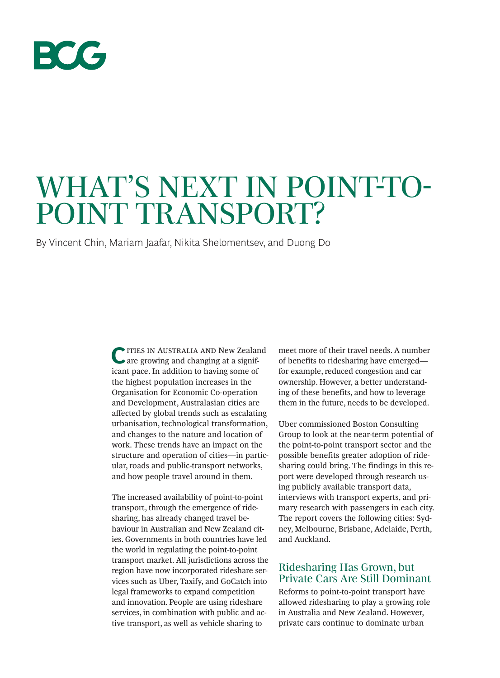

# WHAT'S NEXT IN POINT-TO-POINT TRANSPORT?

By Vincent Chin, Mariam Jaafar, Nikita Shelomentsev, and Duong Do

**C**ities in Australia and New Zealand are growing and changing at a significant pace. In addition to having some of the highest population increases in the Organisation for Economic Co-operation and Development, Australasian cities are afected by global trends such as escalating urbanisation, technological transformation, and changes to the nature and location of work. These trends have an impact on the structure and operation of cities—in particular, roads and public-transport networks, and how people travel around in them.

The increased availability of point-to-point transport, through the emergence of ridesharing, has already changed travel behaviour in Australian and New Zealand cities. Governments in both countries have led the world in regulating the point-to-point transport market. All jurisdictions across the region have now incorporated rideshare services such as Uber, Taxify, and GoCatch into legal frameworks to expand competition and innovation. People are using rideshare services, in combination with public and active transport, as well as vehicle sharing to

meet more of their travel needs. A number of benefits to ridesharing have emerged for example, reduced congestion and car ownership. However, a better understanding of these benefits, and how to leverage them in the future, needs to be developed.

Uber commissioned Boston Consulting Group to look at the near-term potential of the point-to-point transport sector and the possible benefits greater adoption of ridesharing could bring. The findings in this report were developed through research using publicly available transport data, interviews with transport experts, and primary research with passengers in each city. The report covers the following cities: Sydney, Melbourne, Brisbane, Adelaide, Perth, and Auckland.

### Ridesharing Has Grown, but Private Cars Are Still Dominant

Reforms to point-to-point transport have allowed ridesharing to play a growing role in Australia and New Zealand. However, private cars continue to dominate urban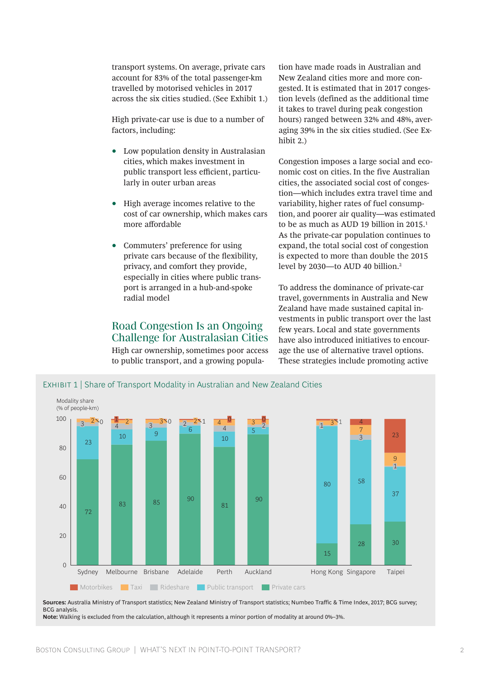transport systems. On average, private cars account for 83% of the total passenger-km travelled by motorised vehicles in 2017 across the six cities studied. (See Exhibit 1.)

High private-car use is due to a number of factors, including:

- Low population density in Australasian cities, which makes investment in public transport less efficient, particularly in outer urban areas
- High average incomes relative to the cost of car ownership, which makes cars more afordable
- Commuters' preference for using private cars because of the fexibility, privacy, and comfort they provide, especially in cities where public transport is arranged in a hub-and-spoke radial model

#### Road Congestion Is an Ongoing Challenge for Australasian Cities

High car ownership, sometimes poor access to public transport, and a growing population have made roads in Australian and New Zealand cities more and more congested. It is estimated that in 2017 congestion levels (defined as the additional time it takes to travel during peak congestion hours) ranged between 32% and 48%, averaging 39% in the six cities studied. (See Exhibit 2.)

Congestion imposes a large social and economic cost on cities. In the five Australian cities, the associated social cost of congestion—which includes extra travel time and variability, higher rates of fuel consumption, and poorer air quality—was estimated to be as much as AUD 19 billion in 2015.<sup>1</sup> As the private-car population continues to expand, the total social cost of congestion is expected to more than double the 2015 level by 2030—to AUD 40 billion.2

To address the dominance of private-car travel, governments in Australia and New Zealand have made sustained capital investments in public transport over the last few years. Local and state governments have also introduced initiatives to encourage the use of alternative travel options. These strategies include promoting active



**Sources:** Australia Ministry of Transport statistics; New Zealand Ministry of Transport statistics; Numbeo Traffic & Time Index, 2017; BCG survey; BCG analysis. **Note:** Walking is excluded from the calculation, although it represents a minor portion of modality at around 0%–3%.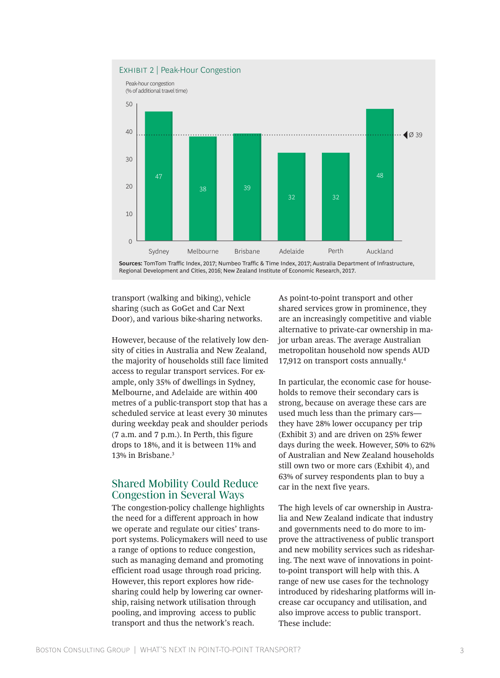

transport (walking and biking), vehicle sharing (such as GoGet and Car Next Door), and various bike-sharing networks.

However, because of the relatively low density of cities in Australia and New Zealand, the majority of households still face limited access to regular transport services. For example, only 35% of dwellings in Sydney, Melbourne, and Adelaide are within 400 metres of a public-transport stop that has a scheduled service at least every 30 minutes during weekday peak and shoulder periods (7 a.m. and 7 p.m.). In Perth, this figure drops to 18%, and it is between 11% and 13% in Brisbane.3

#### Shared Mobility Could Reduce Congestion in Several Ways

The congestion-policy challenge highlights the need for a different approach in how we operate and regulate our cities' transport systems. Policymakers will need to use a range of options to reduce congestion, such as managing demand and promoting efficient road usage through road pricing. However, this report explores how ridesharing could help by lowering car ownership, raising network utilisation through pooling, and improving access to public transport and thus the network's reach.

As point-to-point transport and other shared services grow in prominence, they are an increasingly competitive and viable alternative to private-car ownership in major urban areas. The average Australian metropolitan household now spends AUD 17,912 on transport costs annually.4

In particular, the economic case for households to remove their secondary cars is strong, because on average these cars are used much less than the primary cars they have 28% lower occupancy per trip (Exhibit 3) and are driven on 25% fewer days during the week. However, 50% to 62% of Australian and New Zealand households still own two or more cars (Exhibit 4), and 63% of survey respondents plan to buy a car in the next five years.

The high levels of car ownership in Australia and New Zealand indicate that industry and governments need to do more to improve the attractiveness of public transport and new mobility services such as ridesharing. The next wave of innovations in pointto-point transport will help with this. A range of new use cases for the technology introduced by ridesharing platforms will increase car occupancy and utilisation, and also improve access to public transport. These include: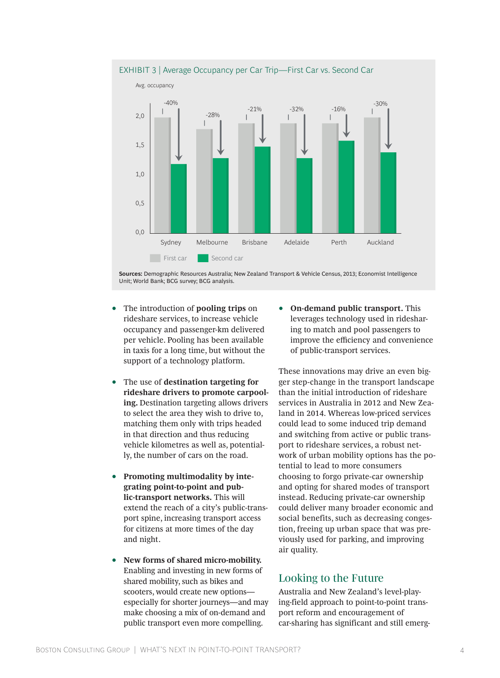

**Sources:** Demographic Resources Australia; New Zealand Transport & Vehicle Census, 2013; Economist Intelligence Unit; World Bank; BCG survey; BCG analysis.

- The introduction of **pooling trips** on rideshare services, to increase vehicle occupancy and passenger-km delivered per vehicle. Pooling has been available in taxis for a long time, but without the support of a technology platform.
- The use of **destination targeting for rideshare drivers to promote carpooling.** Destination targeting allows drivers to select the area they wish to drive to, matching them only with trips headed in that direction and thus reducing vehicle kilometres as well as, potentially, the number of cars on the road.
- **Promoting multimodality by integrating point-to-point and public-transport networks.** This will extend the reach of a city's public-transport spine, increasing transport access for citizens at more times of the day and night.
- **New forms of shared micro-mobility.** Enabling and investing in new forms of shared mobility, such as bikes and scooters, would create new options especially for shorter journeys—and may make choosing a mix of on-demand and public transport even more compelling.

• **On-demand public transport.** This leverages technology used in ridesharing to match and pool passengers to improve the efficiency and convenience of public-transport services.

These innovations may drive an even bigger step-change in the transport landscape than the initial introduction of rideshare services in Australia in 2012 and New Zealand in 2014. Whereas low-priced services could lead to some induced trip demand and switching from active or public transport to rideshare services, a robust network of urban mobility options has the potential to lead to more consumers choosing to forgo private-car ownership and opting for shared modes of transport instead. Reducing private-car ownership could deliver many broader economic and social benefits, such as decreasing congestion, freeing up urban space that was previously used for parking, and improving air quality.

## Looking to the Future

Australia and New Zealand's level-playing-field approach to point-to-point transport reform and encouragement of car-sharing has significant and still emerg-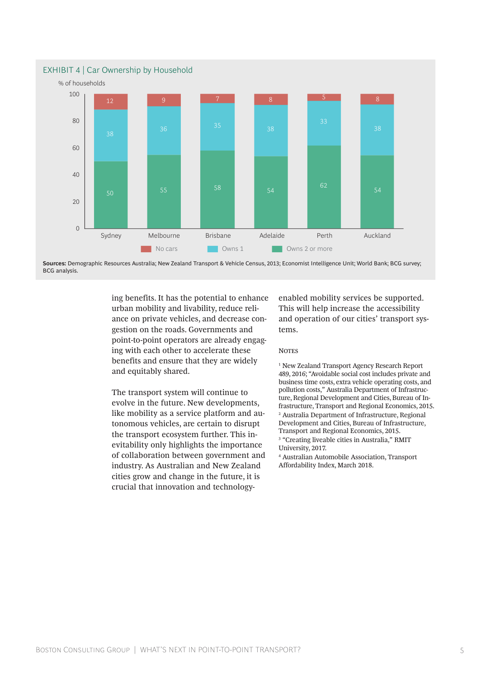

**Sources:** Demographic Resources Australia; New Zealand Transport & Vehicle Census, 2013; Economist Intelligence Unit; World Bank; BCG survey; BCG analysis.

> ing benefits. It has the potential to enhance urban mobility and livability, reduce reliance on private vehicles, and decrease congestion on the roads. Governments and point-to-point operators are already engaging with each other to accelerate these benefits and ensure that they are widely and equitably shared.

The transport system will continue to evolve in the future. New developments, like mobility as a service platform and autonomous vehicles, are certain to disrupt the transport ecosystem further. This inevitability only highlights the importance of collaboration between government and industry. As Australian and New Zealand cities grow and change in the future, it is crucial that innovation and technologyenabled mobility services be supported. This will help increase the accessibility and operation of our cities' transport systems.

#### **NOTES**

1 New Zealand Transport Agency Research Report 489, 2016; "Avoidable social cost includes private and business time costs, extra vehicle operating costs, and pollution costs," Australia Department of Infrastructure, Regional Development and Cities, Bureau of Infrastructure, Transport and Regional Economics, 2015. 2 Australia Department of Infrastructure, Regional Development and Cities, Bureau of Infrastructure, Transport and Regional Economics, 2015.

3 "Creating liveable cities in Australia," RMIT University, 2017.

4 Australian Automobile Association, Transport Affordability Index, March 2018.